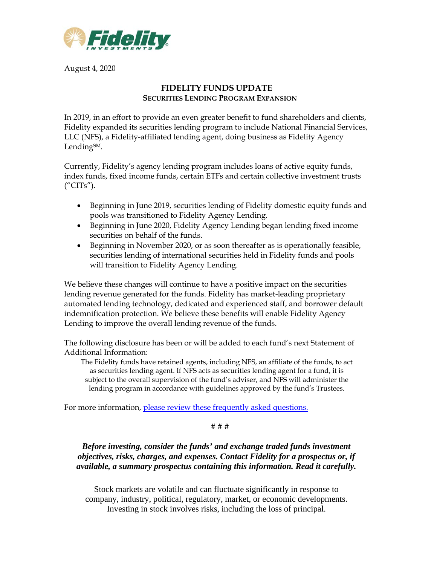

August 4, 2020

## **FIDELITY FUNDS UPDATE SECURITIES LENDING PROGRAM EXPANSION**

In 2019, in an effort to provide an even greater benefit to fund shareholders and clients, Fidelity expanded its securities lending program to include National Financial Services, LLC (NFS), a Fidelity-affiliated lending agent, doing business as Fidelity Agency Lending<sub>SM</sub>.

Currently, Fidelity's agency lending program includes loans of active equity funds, index funds, fixed income funds, certain ETFs and certain collective investment trusts ("CITs").

- Beginning in June 2019, securities lending of Fidelity domestic equity funds and pools was transitioned to Fidelity Agency Lending.
- Beginning in June 2020, Fidelity Agency Lending began lending fixed income securities on behalf of the funds.
- Beginning in November 2020, or as soon thereafter as is operationally feasible, securities lending of international securities held in Fidelity funds and pools will transition to Fidelity Agency Lending.

We believe these changes will continue to have a positive impact on the securities lending revenue generated for the funds. Fidelity has market-leading proprietary automated lending technology, dedicated and experienced staff, and borrower default indemnification protection. We believe these benefits will enable Fidelity Agency Lending to improve the overall lending revenue of the funds.

The following disclosure has been or will be added to each fund's next Statement of Additional Information:

The Fidelity funds have retained agents, including NFS, an affiliate of the funds, to act as securities lending agent. If NFS acts as securities lending agent for a fund, it is subject to the overall supervision of the fund's adviser, and NFS will administer the lending program in accordance with guidelines approved by the fund's Trustees.

For more information, [please review these frequently asked questions.](https://institutional.fidelity.com/app/literature/item/9899978.html)

## # # #

*Before investing, consider the funds' and exchange traded funds investment objectives, risks, charges, and expenses. Contact Fidelity for a prospectus or, if available, a summary prospectus containing this information. Read it carefully.*

Stock markets are volatile and can fluctuate significantly in response to company, industry, political, regulatory, market, or economic developments. Investing in stock involves risks, including the loss of principal.